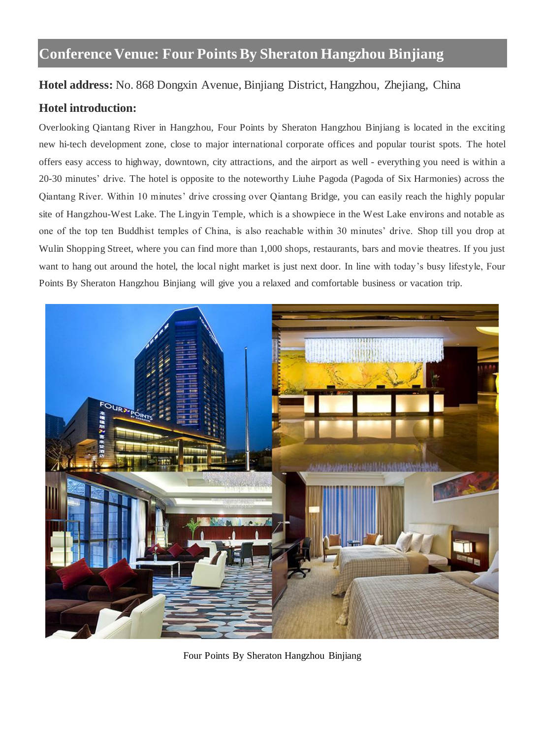# **Conference Venue: Four Points By Sheraton Hangzhou Binjiang**

# **Hotel address:** No. 868 Dongxin Avenue, Binjiang District, Hangzhou, Zhejiang, China

## **Hotel introduction:**

Overlooking Qiantang River in Hangzhou, Four Points by Sheraton Hangzhou Binjiang is located in the exciting new hi-tech development zone, close to major international corporate offices and popular tourist spots. The hotel offers easy access to highway, downtown, city attractions, and the airport as well - everything you need is within a 20-30 minutes' drive. The hotel is opposite to the noteworthy Liuhe Pagoda (Pagoda of Six Harmonies) across the Qiantang River. Within 10 minutes' drive crossing over Qiantang Bridge, you can easily reach the highly popular site of Hangzhou-West Lake. The Lingyin Temple, which is a showpiece in the West Lake environs and notable as one of the top ten Buddhist temples of China, is also reachable within 30 minutes' drive. Shop till you drop at Wulin Shopping Street, where you can find more than 1,000 shops, restaurants, bars and movie theatres. If you just want to hang out around the hotel, the local night market is just next door. In line with today's busy lifestyle, Four Points By Sheraton Hangzhou Binjiang will give you a relaxed and comfortable business or vacation trip.



Four Points By Sheraton Hangzhou Binjiang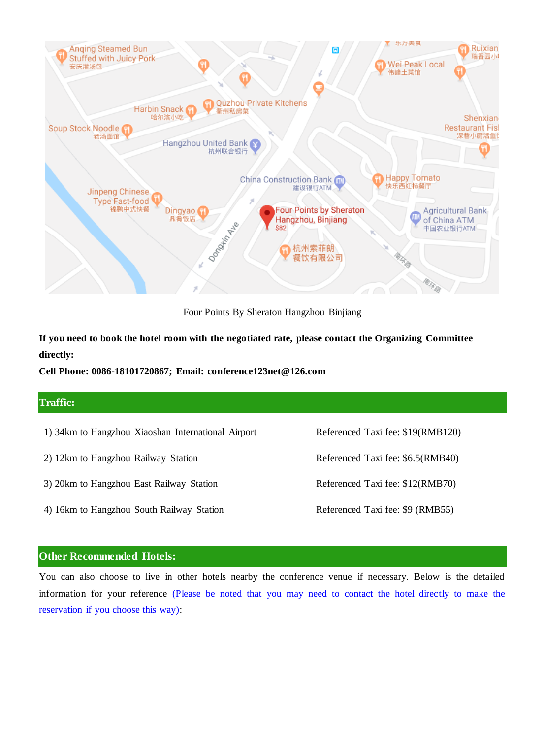

Four Points By Sheraton Hangzhou Binjiang

**If you need to book the hotel room with the negotiated rate, please contact the Organizing Committee directly:** 

**Cell Phone: 0086**-**18101720867; Email: conference123net@126.com**

| <b>Traffic:</b>                                    |                                   |
|----------------------------------------------------|-----------------------------------|
| 1) 34km to Hangzhou Xiaoshan International Airport | Referenced Taxi fee: \$19(RMB120) |
| 2) 12km to Hangzhou Railway Station                | Referenced Taxi fee: \$6.5(RMB40) |
| 3) 20km to Hangzhou East Railway Station           | Referenced Taxi fee: \$12(RMB70)  |
| 4) 16km to Hangzhou South Railway Station          | Referenced Taxi fee: \$9 (RMB55)  |
|                                                    |                                   |

### **Other Recommended Hotels:**

You can also choose to live in other hotels nearby the conference venue if necessary. Below is the detailed information for your reference (Please be noted that you may need to contact the hotel directly to make the reservation if you choose this way):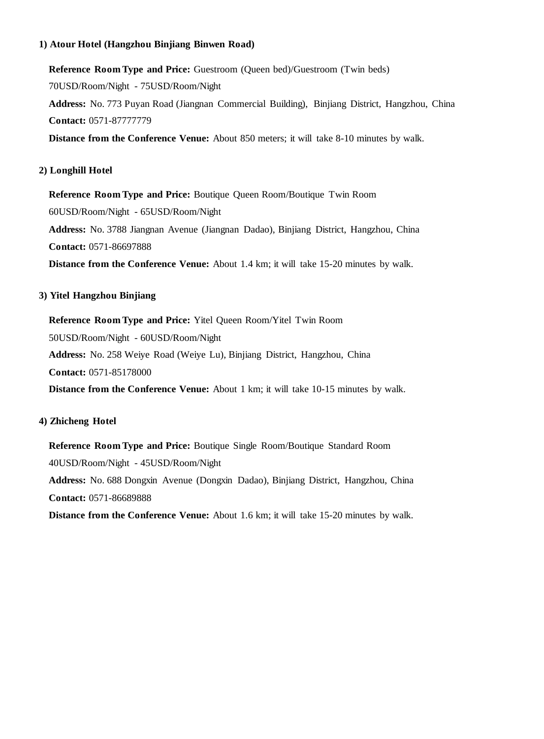#### **1) Atour Hotel (Hangzhou Binjiang Binwen Road)**

**Reference Room Type and Price:** Guestroom (Queen bed)/Guestroom (Twin beds) 70USD/Room/Night - 75USD/Room/Night **Address:** No. 773 Puyan Road (Jiangnan Commercial Building), Binjiang District, Hangzhou, China **Contact:** 0571-87777779

**Distance from the Conference Venue:** About 850 meters; it will take 8-10 minutes by walk.

## **2) Longhill Hotel**

**Reference Room Type and Price:** Boutique Queen Room/Boutique Twin Room 60USD/Room/Night - 65USD/Room/Night

**Address:** No. 3788 Jiangnan Avenue (Jiangnan Dadao), Binjiang District, Hangzhou, China **Contact:** 0571-86697888

**Distance from the Conference Venue:** About 1.4 km; it will take 15-20 minutes by walk.

## **3) Yitel Hangzhou Binjiang**

**Reference Room Type and Price:** Yitel Queen Room/Yitel Twin Room 50USD/Room/Night - 60USD/Room/Night **Address:** No. 258 Weiye Road (Weiye Lu), Binjiang District, Hangzhou, China **Contact:** 0571-85178000 **Distance from the Conference Venue:** About 1 km; it will take 10-15 minutes by walk.

### **4) Zhicheng Hotel**

**Reference Room Type and Price:** Boutique Single Room/Boutique Standard Room 40USD/Room/Night - 45USD/Room/Night

**Address:** No. 688 Dongxin Avenue (Dongxin Dadao), Binjiang District, Hangzhou, China **Contact:** 0571-86689888

**Distance from the Conference Venue:** About 1.6 km; it will take 15-20 minutes by walk.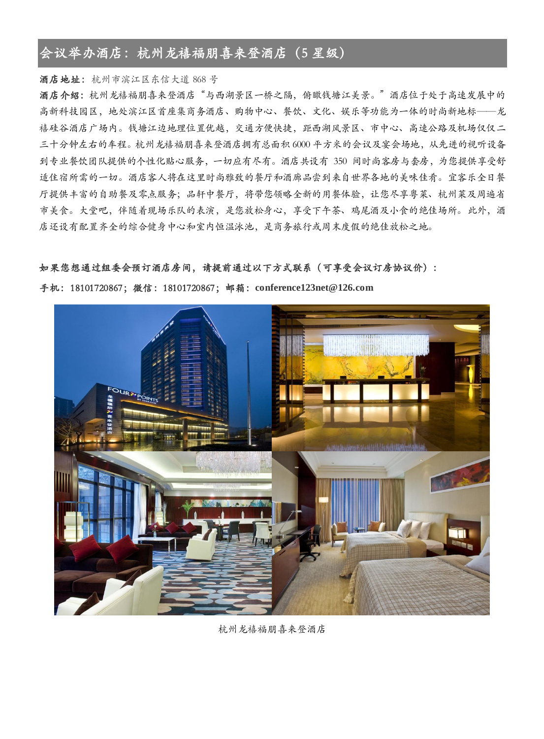# 会议举办酒店:杭州龙禧福朋喜来登酒店(5 星级)

#### 酒店地址:杭州市滨江区东信大道 868 号

酒店介绍:杭州龙禧福朋喜来登酒店"与西湖景区一桥之隔,俯瞰钱塘江美景。"酒店位于处于高速发展中的 高新科技园区,地处滨江区首座集商务酒店、购物中心、餐饮、文化、娱乐等功能为一体的时尚新地标——龙 禧硅谷酒店广场内。钱塘江边地理位置优越,交通方便快捷,距西湖风景区、市中心、高速公路及机场仅仅二 三十分钟左右的车程。杭州龙禧福朋喜来登酒店拥有总面积 6000 平方米的会议及宴会场地,从先进的视听设备 到专业餐饮团队提供的个性化贴心服务,一切应有尽有。酒店共设有 350 间时尚客房与套房,为您提供享受舒 适住宿所需的一切。酒店客人将在这里时尚雅致的餐厅和酒廊品尝到来自世界各地的美味佳肴。宜客乐全日餐 厅提供丰富的自助餐及零点服务;品轩中餐厅,将带您领略全新的用餐体验,让您尽享粤菜、杭州菜及周遍省 市美食。大堂吧,伴随着现场乐队的表演,是您放松身心,享受下午茶、鸡尾酒及小食的绝佳场所。此外,酒 店还设有配置齐全的综合健身中心和室内恒温泳池,是商务旅行或周末度假的绝佳放松之地。

#### 如果您想通过组委会预订酒店房间,请提前通过以下方式联系(可享受会议订房协议价):



手机:18101720867;微信:18101720867;邮箱:**conference123net@126.com**

杭州龙禧福朋喜来登酒店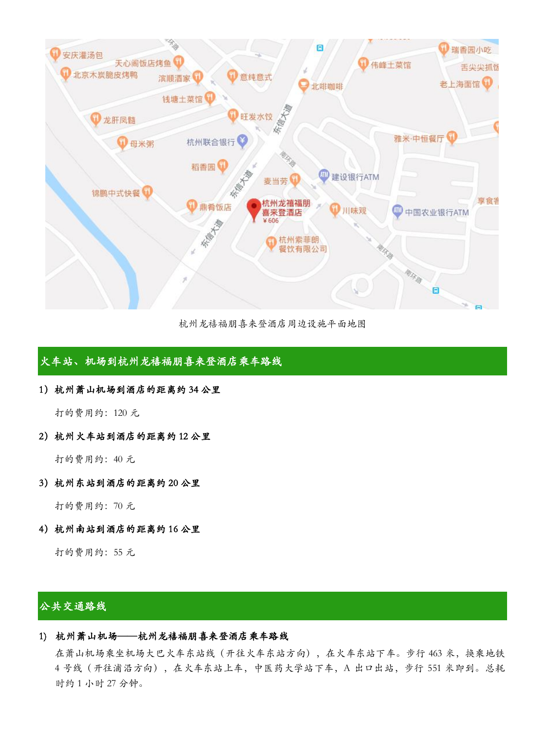

杭州龙禧福朋喜来登酒店周边设施平面地图

# 火车站、机场到杭州龙禧福朋喜来登酒店乘车路线

1)杭州萧山机场到酒店的距离约 34 公里

打的费用约:120 元

2)杭州火车站到酒店的距离约 12 公里

打的费用约:40 元

3)杭州东站到酒店的距离约 20 公里

打的费用约:70 元

4)杭州南站到酒店的距离约 16 公里

打的费用约:55 元

公共交通路线

#### 1) 杭州萧山机场——杭州龙禧福朋喜来登酒店乘车路线

在萧山机场乘坐机场大巴火车东站线(开往火车东站方向),在火车东站下车。步行 463 米,换乘地铁 4 号线(开往浦沿方向),在火车东站上车,中医药大学站下车,A 出口出站,步行 551 米即到。总耗 时约 1 小时 27 分钟。